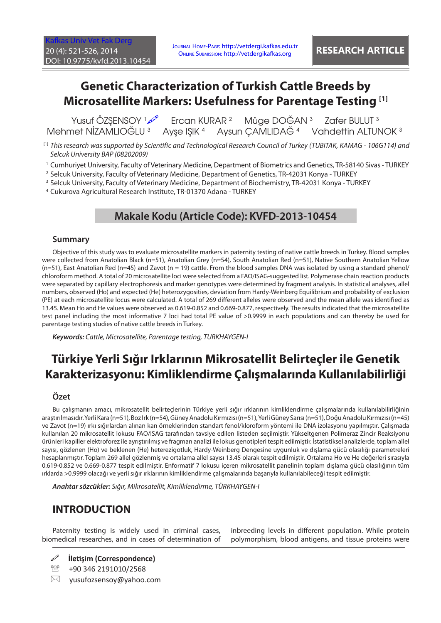# **Genetic Characterization of Turkish Cattle Breeds by Microsatellite Markers: Usefulness for Parentage Testing [1]**

Yusuf ÖZŞENSOY 1 Ercan KURAR <sup>2</sup> Müge DOĞAN<sup>3</sup> Zafer BULUT<sup>3</sup> Mehmet NİZAMLIOĞLU <sup>3</sup> Ayşe IŞIK <sup>4</sup> Aysun ÇAMLIDAĞ <sup>4</sup> Vahdettin ALTUNOK<sup>3</sup>

- $^{\text{\tiny{[1]}}}$  This research was supported by Scientific and Technological Research Council of Turkey (TUBITAK, KAMAG 106G114) and *Selcuk University BAP (08202009)*
- 1 Cumhuriyet University, Faculty of Veterinary Medicine, Department of Biometrics and Genetics, TR-58140 Sivas TURKEY
- 2 Selcuk University, Faculty of Veterinary Medicine, Department of Genetics, TR-42031 Konya TURKEY
- 3 Selcuk University, Faculty of Veterinary Medicine, Department of Biochemistry, TR-42031 Konya TURKEY

4 Cukurova Agricultural Research Institute, TR-01370 Adana - TURKEY

### **Makale Kodu (Article Code): KVFD-2013-10454**

#### **Summary**

Objective of this study was to evaluate microsatellite markers in paternity testing of native cattle breeds in Turkey. Blood samples were collected from Anatolian Black (n=51), Anatolian Grey (n=54), South Anatolian Red (n=51), Native Southern Anatolian Yellow  $(n=51)$ , East Anatolian Red (n=45) and Zavot (n = 19) cattle. From the blood samples DNA was isolated by using a standard phenol/ chloroform method. A total of 20 microsatellite loci were selected from a FAO/ISAG-suggested list. Polymerase chain reaction products were separated by capillary electrophoresis and marker genotypes were determined by fragment analysis. In statistical analyses, allel numbers, observed (Ho) and expected (He) heterozygosities, deviation from Hardy-Weinberg Equilibrium and probability of exclusion (PE) at each microsatellite locus were calculated. A total of 269 different alleles were observed and the mean allele was identified as 13.45. Mean Ho and He values were observed as 0.619-0.852 and 0.669-0.877, respectively. The results indicated that the microsatellite test panel including the most informative 7 loci had total PE value of >0.9999 in each populations and can thereby be used for parentage testing studies of native cattle breeds in Turkey.

*Keywords: Cattle, Microsatellite, Parentage testing, TURKHAYGEN-I*

# **Türkiye Yerli Sığır Irklarının Mikrosatellit Belirteçler ile Genetik Karakterizasyonu: Kimliklendirme Çalışmalarında Kullanılabilirliği**

#### **Özet**

Bu çalışmanın amacı, mikrosatellit belirteçlerinin Türkiye yerli sığır ırklarının kimliklendirme çalışmalarında kullanılabilirliğinin araştırılmasıdır. Yerli Kara (n=51), Boz Irk (n=54), Güney Anadolu Kırmızısı (n=51), Yerli Güney Sarısı (n=51), Doğu Anadolu Kırmızısı (n=45) ve Zavot (n=19) ırkı sığırlardan alınan kan örneklerinden standart fenol/kloroform yöntemi ile DNA izolasyonu yapılmıştır. Çalışmada kullanılan 20 mikrosatellit lokusu FAO/ISAG tarafından tavsiye edilen listeden seçilmiştir. Yükseltgenen Polimeraz Zincir Reaksiyonu ürünleri kapiller elektroforez ile ayrıştırılmış ve fragman analizi ile lokus genotipleri tespit edilmiştir. İstatistiksel analizlerde, toplam allel sayısı, gözlenen (Ho) ve beklenen (He) heterezigotluk, Hardy-Weinberg Dengesine uygunluk ve dışlama gücü olasılığı parametreleri hesaplanmıştır. Toplam 269 allel gözlenmiş ve ortalama allel sayısı 13.45 olarak tespit edilmiştir. Ortalama Ho ve He değerleri sırasıyla 0.619-0.852 ve 0.669-0.877 tespit edilmiştir. Enformatif 7 lokusu içeren mikrosatellit panelinin toplam dışlama gücü olasılığının tüm ırklarda >0.9999 olacağı ve yerli sığır ırklarının kimliklendirme çalışmalarında başarıyla kullanılabileceği tespit edilmiştir.

*Anahtar sözcükler: Sığır, Mikrosatellit, Kimliklendirme, TÜRKHAYGEN-I*

## **INTRODUCTION**

Paternity testing is widely used in criminal cases, biomedical researches, and in cases of determination of inbreeding levels in different population. While protein polymorphism, blood antigens, and tissue proteins were

- **İletişim (Correspondence)**
- <sup>2</sup> +90 346 2191010/2568
- $\boxtimes$  yusufozsensoy@yahoo.com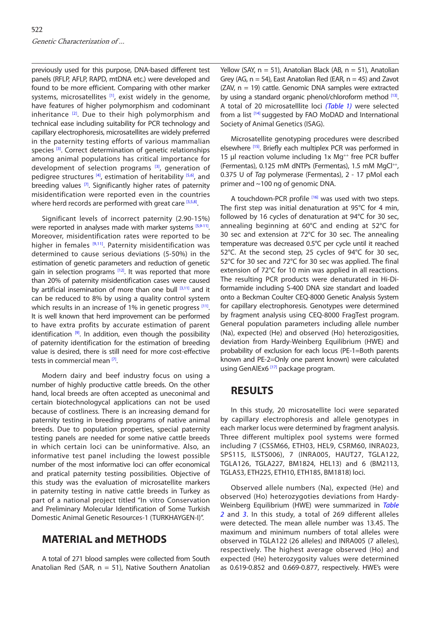previously used for this purpose, DNA-based different test panels (RFLP, AFLP, RAPD, mtDNA etc.) were developed and found to be more efficient. Comparing with other marker systems, microsatellites  $[1]$ , exist widely in the genome, have features of higher polymorphism and codominant inheritance  $[2]$ . Due to their high polymorphism and technical ease including suitability for PCR technology and capillary electrophoresis, microsatellites are widely preferred in the paternity testing efforts of various mammalian species <sup>[3]</sup>. Correct determination of genetic relationships among animal populations has critical importance for development of selection programs  $[3]$ , generation of pedigree structures  $[4]$ , estimation of heritability  $[5,6]$  $[5,6]$ , and breeding values  $[7]$ . Significantly higher rates of paternity misidentification were reported even in the countries where herd records are performed with great car[e \[3,5,8\].](#page-5-0)

Significant levels of incorrect paternity (2.90-15%) were reported in analyses made with marker systems [[5,9-11\]](#page-5-0). Moreover, misidentification rates were reported to be higher in females [\[9,11](#page-5-0)]. Paternity misidentification was determined to cause serious deviations (5-50%) in the estimation of genetic parameters and reduction of genetic gain in selection programs  $[12]$ . It was reported that more than 20% of paternity misidentification cases were caused by artificial insemination of more than one bull [\[3,11\]](#page-5-0) and it can be reduced to 8% by using a quality control system which results in an increase of  $1\%$  in genetic progress  $[11]$ . It is well known that herd improvement can be performed to have extra profits by accurate estimation of parent identification  $[9]$ . In addition, even though the possibility of paternity identification for the estimation of breeding value is desired, there is still need for more cost-effective tests in commercial mean [\[7\].](#page-5-0)

Modern dairy and beef industry focus on using a number of highly productive cattle breeds. On the other hand, local breeds are often accepted as uneconimal and certain biotechnologycal applications can not be used because of costliness. There is an increasing demand for paternity testing in breeding programs of native animal breeds. Due to population properties, special paternity testing panels are needed for some native cattle breeds in which certain loci can be uninformative. Also, an informative test panel including the lowest possible number of the most informative loci can offer economical and pratical paternity testing possibilities. Objective of this study was the evaluation of microsatellite markers in paternity testing in native cattle breeds in Turkey as part of a national project titled "In vitro Conservation and Preliminary Molecular Identification of Some Turkish Domestic Animal Genetic Resources-1 (TURKHAYGEN-I)".

## **MATERIAL and METHODS**

A total of 271 blood samples were collected from South Anatolian Red (SAR,  $n = 51$ ), Native Southern Anatolian

Yellow (SAY, n = 51), Anatolian Black (AB, n = 51), Anatolian Grey (AG,  $n = 54$ ), East Anatolian Red (EAR,  $n = 45$ ) and Zavot (ZAV, n = 19) cattle. Genomic DNA samples were extracted by using a standard organic phenol/chloroform method [\[13\].](#page-5-0) A total of 20 microsatelllite loci *[\(Table 1](#page-2-0))* were selected from a list [\[14\]](#page-5-0) suggested by FAO MoDAD and International Society of Animal Genetics (ISAG).

Microsatellite genotyping procedures were described elsewhere [\[15\].](#page-5-0) Briefly each multiplex PCR was performed in 15 µl reaction volume including 1x Mg<sup>++</sup> free PCR buffer (Fermentas), 0.125 mM dNTPs (Fermentas), 1.5 mM MgCl<sup>++</sup>, 0.375 U of *Tag* polymerase (Fermentas), 2 - 17 pMol each primer and ~100 ng of genomic DNA.

A touchdown-PCR profile <sup>[16]</sup> was used with two steps. The first step was initial denaturation at 95°C for 4 min, followed by 16 cycles of denaturation at 94°C for 30 sec, annealing beginning at 60°C and ending at 52°C for 30 sec and extension at 72°C for 30 sec. The annealing temperature was decreased 0.5°C per cycle until it reached 52°C. At the second step, 25 cycles of 94°C for 30 sec, 52°C for 30 sec and 72°C for 30 sec was applied. The final extension of 72°C for 10 min was applied in all reactions. The resulting PCR products were denaturated in Hi-Diformamide including S-400 DNA size standart and loaded onto a Beckman Coulter CEQ-8000 Genetic Analysis System for capillary electrophoresis. Genotypes were determined by fragment analysis using CEQ-8000 FragTest program. General population parameters including allele number (Na), expected (He) and observed (Ho) heterozigosities, deviation from Hardy-Weinberg Equilibrium (HWE) and probability of exclusion for each locus (PE-1=Both parents known and PE-2=Only one parent known) were calculated using GenAlEx6<sup>[\[17\]](#page-5-0)</sup> package program.

## **RESULTS**

In this study, 20 microsatellite loci were separated by capillary electrophoresis and allele genotypes in each marker locus were determined by fragment analysis. Three different multiplex pool systems were formed including 7 (CSSM66, ETH03, HEL9, CSRM60, INRA023, SPS115, ILSTS006), 7 (INRA005, HAUT27, TGLA122, TGLA126, TGLA227, BM1824, HEL13) and 6 (BM2113, TGLA53, ETH225, ETH10, ETH185, BM1818) loci.

Observed allele numbers (Na), expected (He) and observed (Ho) heterozygoties deviations from Hardy-Weinberg Equilibrium (HWE) were summarized in *[Table](#page-3-0)  2* and *[3](#page-3-0)*. In this study, a total of 269 different alleles were detected. The mean allele number was 13.45. The maximum and minimum numbers of total alleles were observed in TGLA122 (26 alleles) and INRA005 (7 alleles), respectively. The highest average observed (Ho) and expected (He) heterozygosity values were determined as 0.619-0.852 and 0.669-0.877, respectively. HWE's were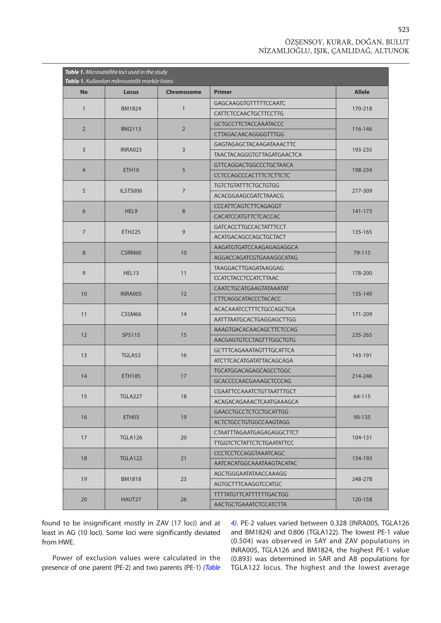#### ÖZŞENSOY, KURAR, DOĞAN, BULUT NİZAMLIOĞLU, IŞIK, ÇAMLIDAĞ, ALTUNOK

<span id="page-2-0"></span>

| Table 1. Microsatellite loci used in the study<br>Tablo 1. Kullanılan mikrosatellit markör listesi |                   |                   |                                  |               |  |  |  |  |
|----------------------------------------------------------------------------------------------------|-------------------|-------------------|----------------------------------|---------------|--|--|--|--|
| <b>No</b>                                                                                          | <b>Locus</b>      | <b>Chromosome</b> | <b>Primer</b>                    | <b>Allele</b> |  |  |  |  |
| $\mathbf{1}$                                                                                       |                   |                   | <b>GAGCAAGGTGTTTTTCCAATC</b>     |               |  |  |  |  |
|                                                                                                    | <b>BM1824</b>     | $\mathbf{1}$      | CATTCTCCAACTGCTTCCTTG            | 170-218       |  |  |  |  |
|                                                                                                    |                   |                   | <b>GCTGCCTTCTACCAAATACCC</b>     |               |  |  |  |  |
| $\overline{2}$                                                                                     | <b>BM2113</b>     | $\overline{2}$    | CTTAGACAACAGGGGTTTGG             | 116-146       |  |  |  |  |
|                                                                                                    |                   | 3                 | GAGTAGAGCTACAAGATAAACTTC         |               |  |  |  |  |
| 3                                                                                                  | <b>INRA023</b>    |                   | TAACTACAGGGTGTTAGATGAACTCA       | 193-235       |  |  |  |  |
| $\overline{4}$                                                                                     | ETH <sub>10</sub> | 5                 | <b>GTTCAGGACTGGCCCTGCTAACA</b>   | 198-234       |  |  |  |  |
|                                                                                                    |                   |                   | <b>CCTCCAGCCCACTTTCTCTTCTC</b>   |               |  |  |  |  |
| 5                                                                                                  | ILSTS006          |                   | <b>TGTCTGTATTTCTGCTGTGG</b>      | 277-309       |  |  |  |  |
|                                                                                                    |                   | $\overline{7}$    | ACACGGAAGCGATCTAAACG             |               |  |  |  |  |
| 6                                                                                                  | HEL9              | 8                 | CCCATTCAGTCTTCAGAGGT             | 141-173       |  |  |  |  |
|                                                                                                    |                   |                   | CACATCCATGTTCTCACCAC             |               |  |  |  |  |
| $\overline{7}$                                                                                     | <b>ETH225</b>     | 9                 | <b>GATCACCTTGCCACTATTTCCT</b>    | 135-165       |  |  |  |  |
|                                                                                                    |                   |                   | ACATGACAGCCAGCTGCTACT            |               |  |  |  |  |
| 8                                                                                                  | CSRM60            |                   | AAGATGTGATCCAAGAGAGAGGCA         | 79-115        |  |  |  |  |
|                                                                                                    |                   | 10                | AGGACCAGATCGTGAAAGGCATAG         |               |  |  |  |  |
| 9                                                                                                  | HEL13             | 11                | TAAGGACTTGAGATAAGGAG             | 178-200       |  |  |  |  |
|                                                                                                    |                   |                   | <b>CCATCTACCTCCATCTTAAC</b>      |               |  |  |  |  |
| 10                                                                                                 | <b>INRA005</b>    | 12                | CAATCTGCATGAAGTATAAATAT          | 135-149       |  |  |  |  |
|                                                                                                    |                   |                   | CTTCAGGCATACCCTACACC             |               |  |  |  |  |
| 11                                                                                                 | CSSM66            | 14                | ACACAAATCCTTTCTGCCAGCTGA         | 171-209       |  |  |  |  |
|                                                                                                    |                   |                   | AATTTAATGCACTGAGGAGCTTGG         |               |  |  |  |  |
| 12                                                                                                 | SPS115            | 15                | AAAGTGACACAACAGCTTCTCCAG         | 235-265       |  |  |  |  |
|                                                                                                    |                   |                   | AACGAGTGTCCTAGTTTGGCTGTG         |               |  |  |  |  |
| 13                                                                                                 | TGLA53            | 16                | <b>GCTTTCAGAAATAGTTTGCATTCA</b>  | 143-191       |  |  |  |  |
|                                                                                                    |                   |                   | ATCTTCACATGATATTACAGCAGA         |               |  |  |  |  |
| 14                                                                                                 | <b>ETH185</b>     | 17                | TGCATGGACAGAGCAGCCTGGC           | 214-246       |  |  |  |  |
|                                                                                                    |                   |                   | GCACCCCAACGAAAGCTCCCAG           |               |  |  |  |  |
| 15                                                                                                 | <b>TGLA227</b>    | $18\,$            | CGAATTCCAAATCTGTTAATTTGCT        | 64-115        |  |  |  |  |
|                                                                                                    |                   |                   | ACAGACAGAAACTCAATGAAAGCA         |               |  |  |  |  |
| 16                                                                                                 | ETH03             | 19                | <b>GAACCTGCCTCTCCTGCATTGG</b>    | 90-135        |  |  |  |  |
|                                                                                                    |                   |                   | ACTCTGCCTGTGGCCAAGTAGG           |               |  |  |  |  |
| 17                                                                                                 | <b>TGLA126</b>    | 20                | CTAATTTAGAATGAGAGAGGCTTCT        | 104-131       |  |  |  |  |
|                                                                                                    |                   |                   | <b>TTGGTCTCTATTCTCTGAATATTCC</b> |               |  |  |  |  |
| 18                                                                                                 | <b>TGLA122</b>    | 21                | <b>CCCTCCTCCAGGTAAATCAGC</b>     | 134-193       |  |  |  |  |
|                                                                                                    |                   |                   | AATCACATGGCAAATAAGTACATAC        |               |  |  |  |  |
| 19                                                                                                 | <b>BM1818</b>     | 23                | AGCTGGGAATATAACCAAAGG            | 248-278       |  |  |  |  |
|                                                                                                    |                   |                   | <b>AGTGCTTTCAAGGTCCATGC</b>      |               |  |  |  |  |
| 20                                                                                                 | HAUT27            | 26                | <b>TTTTATGTTCATTTTTTTGACTGG</b>  | 120-158       |  |  |  |  |
|                                                                                                    |                   |                   | AACTGCTGAAATCTCCATCTTA           |               |  |  |  |  |

found to be insignificant mostly in ZAV (17 loci) and at least in AG (10 loci). Some loci were significantly deviated from HWE.

Power of exclusion values were calculated in the presence of one parent (PE-2) and two parents (PE-1) *[\(Table](#page-4-0)*  *4)*. PE-2 values varied between 0.328 (INRA005, TGLA126 and BM1824) and 0.806 (TGLA122). The lowest PE-1 value (0.504) was observed in SAY and ZAV populations in INRA005, TGLA126 and BM1824, the highest PE-1 value (0.893) was determined in SAR and AB populations for TGLA122 locus. The highest and the lowest average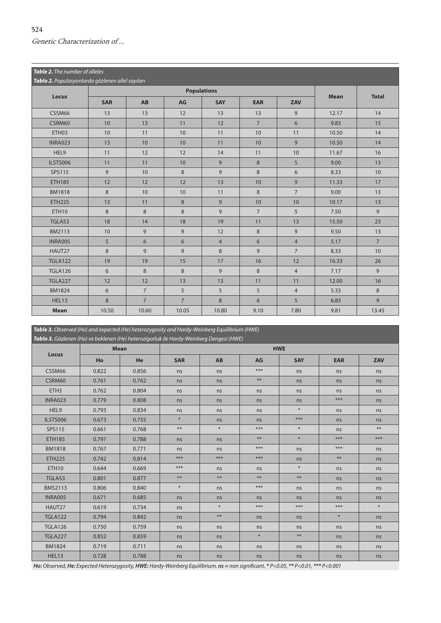<span id="page-3-0"></span>

| Table 2. The number of alleles<br>Tablo 2. Populasyonlarda gözlenen allel sayıları |            |                |                |                |                |                |             |                |  |
|------------------------------------------------------------------------------------|------------|----------------|----------------|----------------|----------------|----------------|-------------|----------------|--|
| Locus                                                                              |            |                |                |                |                |                |             |                |  |
|                                                                                    | <b>SAR</b> | <b>AB</b>      | AG             | <b>SAY</b>     | <b>EAR</b>     | ZAV            | <b>Mean</b> | <b>Total</b>   |  |
| CSSM66                                                                             | 13         | 13             | 12             | 13             | 13             | 9              | 12.17       | 14             |  |
| CSRM60                                                                             | 10         | 13             | 11             | 12             | $\overline{7}$ | 6              | 9.83        | 15             |  |
| ETH <sub>03</sub>                                                                  | 10         | 11             | 10             | 11             | 10             | 11             | 10.50       | 14             |  |
| <b>INRA023</b>                                                                     | 13         | 10             | 10             | 11             | 10             | 9              | 10.50       | 14             |  |
| HEL9                                                                               | 11         | 12             | 12             | 14             | 11             | 10             | 11.67       | 16             |  |
| ILSTS006                                                                           | 11         | 11             | 10             | 9              | 8              | 5              | 9.00        | 13             |  |
| <b>SPS115</b>                                                                      | 9          | 10             | 8              | $\overline{9}$ | 8              | 6              | 8.33        | 10             |  |
| <b>ETH185</b>                                                                      | 12         | 12             | 12             | 13             | 10             | 9              | 11.33       | 17             |  |
| <b>BM1818</b>                                                                      | 8          | 10             | 10             | 11             | 8              | $\overline{7}$ | 9.00        | 13             |  |
| <b>ETH225</b>                                                                      | 13         | 11             | 8              | 9              | 10             | 10             | 10.17       | 13             |  |
| <b>ETH10</b>                                                                       | 8          | 8              | 8              | 9              | $\overline{7}$ | 5              | 7.50        | 9              |  |
| TGLA53                                                                             | 18         | 14             | 18             | 19             | 11             | 13             | 15.50       | 23             |  |
| <b>BM2113</b>                                                                      | 10         | 9              | 9              | 12             | 8              | 9              | 9.50        | 13             |  |
| INRA005                                                                            | 5          | 6              | 6              | $\overline{4}$ | 6              | $\overline{4}$ | 5.17        | $\overline{7}$ |  |
| HAUT27                                                                             | 8          | 9              | 9              | $\,8\,$        | 9              | $\overline{7}$ | 8.33        | 10             |  |
| <b>TGLA122</b>                                                                     | 19         | 19             | 15             | 17             | 16             | 12             | 16.33       | 26             |  |
| <b>TGLA126</b>                                                                     | 6          | 8              | 8              | $\overline{9}$ | 8              | $\overline{4}$ | 7.17        | 9              |  |
| <b>TGLA227</b>                                                                     | 12         | 12             | 13             | 13             | 11             | 11             | 12.00       | 16             |  |
| <b>BM1824</b>                                                                      | 6          | $\overline{7}$ | 5              | 5              | 5              | $\overline{4}$ | 5.33        | 8              |  |
| HEL13                                                                              | 8          | $\overline{7}$ | $\overline{7}$ | 8              | 6              | 5              | 6.83        | 9              |  |
| <b>Mean</b>                                                                        | 10.50      | 10.60          | 10.05          | 10.80          | 9.10           | 7.80           | 9.81        | 13.45          |  |

*Table 3. Observed (Ho) and expected (He) heterozygosity and Hardy-Weinberg Equilibrium (HWE)*

| Tablo 3. Gözlenen (Ho) ve beklenen (He) heterozigotluk ile Hardy-Weinberg Dengesi (HWE) |       |             |            |        |                  |            |                  |        |  |  |
|-----------------------------------------------------------------------------------------|-------|-------------|------------|--------|------------------|------------|------------------|--------|--|--|
| Locus                                                                                   |       | <b>Mean</b> | <b>HWE</b> |        |                  |            |                  |        |  |  |
|                                                                                         | Ho    | He          | <b>SAR</b> | AB     | AG               | <b>SAY</b> | <b>EAR</b>       | ZAV    |  |  |
| CSSM66                                                                                  | 0.822 | 0.856       | ns         | ns     | $***$            | ns         | ns               | ns     |  |  |
| CSRM60                                                                                  | 0.761 | 0.762       | ns         | ns     | $***$            | ns         | ns               | ns     |  |  |
| ETH <sub>3</sub>                                                                        | 0.762 | 0.804       | ns         | ns     | ns               | ns         | ns               | ns     |  |  |
| <b>INRA023</b>                                                                          | 0.779 | 0.808       | ns         | ns     | ns               | ns         | $***$            | ns     |  |  |
| HEL9                                                                                    | 0.793 | 0.834       | ns         | ns     | ns               | $\ast$     | ns               | ns     |  |  |
| ILSTS006                                                                                | 0.673 | 0.755       | $\ast$     | ns     | ns               | $***$      | ns               | ns     |  |  |
| <b>SPS115</b>                                                                           | 0.661 | 0.768       | $***$      | $\ast$ | $***$            | $\ast$     | ns               | $***$  |  |  |
| <b>ETH185</b>                                                                           | 0.797 | 0.788       | ns         | ns     | $***$            | $\ast$     | $***$            | $***$  |  |  |
| <b>BM1818</b>                                                                           | 0.767 | 0.771       | ns         | ns     | $***$            | ns         | $***$            | ns     |  |  |
| <b>ETH225</b>                                                                           | 0.742 | 0.814       | ***        | ***    | $***$            | ns         | $***$            | ns     |  |  |
| ETH <sub>10</sub>                                                                       | 0.644 | 0.669       | ***        | ns     | ns               | $\ast$     | ns               | ns     |  |  |
| TGLA53                                                                                  | 0.801 | 0.877       | $***$      | $***$  | $***$            | $**$       | ns               | ns     |  |  |
| <b>BMS2113</b>                                                                          | 0.806 | 0.840       | $\ast$     | ns     | $***$            | ns         | ns               | ns     |  |  |
| <b>INRA005</b>                                                                          | 0.671 | 0.685       | ns         | ns     | ns               | ns         | ns               | ns     |  |  |
| HAUT27                                                                                  | 0.619 | 0.734       | ns         | $\ast$ | $***$            | $***$      | $***$            | $\ast$ |  |  |
| <b>TGLA122</b>                                                                          | 0.794 | 0.842       | ns         | $***$  | ns               | ns         | $\divideontimes$ | ns     |  |  |
| <b>TGLA126</b>                                                                          | 0.750 | 0.759       | ns         | ns     | ns               | ns         | ns               | ns     |  |  |
| <b>TGLA227</b>                                                                          | 0.852 | 0.859       | ns         | ns     | $\divideontimes$ | $**$       | ns               | ns     |  |  |
| <b>BM1824</b>                                                                           | 0.719 | 0.711       | ns         | ns     | ns               | ns         | ns               | ns     |  |  |
| HEL13                                                                                   | 0.728 | 0.788       | ns         | ns     | ns               | ns         | ns               | ns     |  |  |

Ho: Observed, He: Expected Heterozygosity, HWE: Hardy-Weinberg Equilibrium, ns = non significant, \* P<0.05, \*\* P<0.01, \*\*\* P<0.001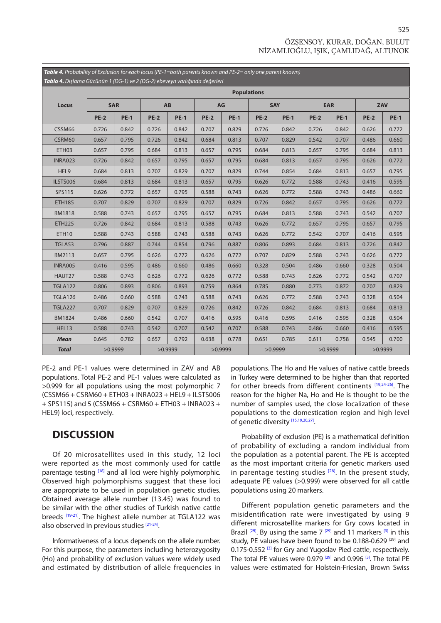#### ÖZŞENSOY, KURAR, DOĞAN, BULUT NİZAMLIOĞLU, IŞIK, ÇAMLIDAĞ, ALTUNOK

<span id="page-4-0"></span>

| Table 4. Probability of Exclusion for each locus (PE-1=both parents known and PE-2= only one parent known) |             |             |           |             |             |             |                    |             |             |             |         |             |  |  |  |
|------------------------------------------------------------------------------------------------------------|-------------|-------------|-----------|-------------|-------------|-------------|--------------------|-------------|-------------|-------------|---------|-------------|--|--|--|
| Tablo 4. Dışlama Gücünün 1 (DG-1) ve 2 (DG-2) ebeveyn varlığında değerleri                                 |             |             |           |             |             |             |                    |             |             |             |         |             |  |  |  |
|                                                                                                            |             |             |           |             |             |             | <b>Populations</b> |             |             |             |         |             |  |  |  |
| Locus                                                                                                      | <b>SAR</b>  |             | <b>AB</b> |             | AG          |             | <b>SAY</b>         |             | <b>EAR</b>  |             | ZAV     |             |  |  |  |
|                                                                                                            | <b>PE-2</b> | <b>PE-1</b> | $PE-2$    | <b>PE-1</b> | <b>PE-2</b> | <b>PE-1</b> | <b>PE-2</b>        | <b>PE-1</b> | <b>PE-2</b> | <b>PE-1</b> | $PE-2$  | <b>PE-1</b> |  |  |  |
| CSSM66                                                                                                     | 0.726       | 0.842       | 0.726     | 0.842       | 0.707       | 0.829       | 0.726              | 0.842       | 0.726       | 0.842       | 0.626   | 0.772       |  |  |  |
| CSRM60                                                                                                     | 0.657       | 0.795       | 0.726     | 0.842       | 0.684       | 0.813       | 0.707              | 0.829       | 0.542       | 0.707       | 0.486   | 0.660       |  |  |  |
| ETH03                                                                                                      | 0.657       | 0.795       | 0.684     | 0.813       | 0.657       | 0.795       | 0.684              | 0.813       | 0.657       | 0.795       | 0.684   | 0.813       |  |  |  |
| <b>INRA023</b>                                                                                             | 0.726       | 0.842       | 0.657     | 0.795       | 0.657       | 0.795       | 0.684              | 0.813       | 0.657       | 0.795       | 0.626   | 0.772       |  |  |  |
| HEL9                                                                                                       | 0.684       | 0.813       | 0.707     | 0.829       | 0.707       | 0.829       | 0.744              | 0.854       | 0.684       | 0.813       | 0.657   | 0.795       |  |  |  |
| ILSTS006                                                                                                   | 0.684       | 0.813       | 0.684     | 0.813       | 0.657       | 0.795       | 0.626              | 0.772       | 0.588       | 0.743       | 0.416   | 0.595       |  |  |  |
| SPS115                                                                                                     | 0.626       | 0.772       | 0.657     | 0.795       | 0.588       | 0.743       | 0.626              | 0.772       | 0.588       | 0.743       | 0.486   | 0.660       |  |  |  |
| <b>ETH185</b>                                                                                              | 0.707       | 0.829       | 0.707     | 0.829       | 0.707       | 0.829       | 0.726              | 0.842       | 0.657       | 0.795       | 0.626   | 0.772       |  |  |  |
| <b>BM1818</b>                                                                                              | 0.588       | 0.743       | 0.657     | 0.795       | 0.657       | 0.795       | 0.684              | 0.813       | 0.588       | 0.743       | 0.542   | 0.707       |  |  |  |
| <b>ETH225</b>                                                                                              | 0.726       | 0.842       | 0.684     | 0.813       | 0.588       | 0.743       | 0.626              | 0.772       | 0.657       | 0.795       | 0.657   | 0.795       |  |  |  |
| <b>ETH10</b>                                                                                               | 0.588       | 0.743       | 0.588     | 0.743       | 0.588       | 0.743       | 0.626              | 0.772       | 0.542       | 0.707       | 0.416   | 0.595       |  |  |  |
| TGLA53                                                                                                     | 0.796       | 0.887       | 0.744     | 0.854       | 0.796       | 0.887       | 0.806              | 0.893       | 0.684       | 0.813       | 0.726   | 0.842       |  |  |  |
| BM2113                                                                                                     | 0.657       | 0.795       | 0.626     | 0.772       | 0.626       | 0.772       | 0.707              | 0.829       | 0.588       | 0.743       | 0.626   | 0.772       |  |  |  |
| <b>INRA005</b>                                                                                             | 0.416       | 0.595       | 0.486     | 0.660       | 0.486       | 0.660       | 0.328              | 0.504       | 0.486       | 0.660       | 0.328   | 0.504       |  |  |  |
| HAUT27                                                                                                     | 0.588       | 0.743       | 0.626     | 0.772       | 0.626       | 0.772       | 0.588              | 0.743       | 0.626       | 0.772       | 0.542   | 0.707       |  |  |  |
| <b>TGLA122</b>                                                                                             | 0.806       | 0.893       | 0.806     | 0.893       | 0.759       | 0.864       | 0.785              | 0.880       | 0.773       | 0.872       | 0.707   | 0.829       |  |  |  |
| <b>TGLA126</b>                                                                                             | 0.486       | 0.660       | 0.588     | 0.743       | 0.588       | 0.743       | 0.626              | 0.772       | 0.588       | 0.743       | 0.328   | 0.504       |  |  |  |
| <b>TGLA227</b>                                                                                             | 0.707       | 0.829       | 0.707     | 0.829       | 0.726       | 0.842       | 0.726              | 0.842       | 0.684       | 0.813       | 0.684   | 0.813       |  |  |  |
| <b>BM1824</b>                                                                                              | 0.486       | 0.660       | 0.542     | 0.707       | 0.416       | 0.595       | 0.416              | 0.595       | 0.416       | 0.595       | 0.328   | 0.504       |  |  |  |
| HEL13                                                                                                      | 0.588       | 0.743       | 0.542     | 0.707       | 0.542       | 0.707       | 0.588              | 0.743       | 0.486       | 0.660       | 0.416   | 0.595       |  |  |  |
| <b>Mean</b>                                                                                                | 0.645       | 0.782       | 0.657     | 0.792       | 0.638       | 0.778       | 0.651              | 0.785       | 0.611       | 0.758       | 0.545   | 0.700       |  |  |  |
| <b>Total</b>                                                                                               | >0.9999     |             | >0.9999   |             | >0.9999     |             | >0.9999            |             | >0.9999     |             | >0.9999 |             |  |  |  |

PE-2 and PE-1 values were determined in ZAV and AB populations. Total PE-2 and PE-1 values were calculated as >0.999 for all populations using the most polymorphic 7  $(CSSM66 + CSRM60 + FTH03 + INRA023 + HFI9 + IISTS006$ + SPS115) and 5 (CSSM66 + CSRM60 + ETH03 + INRA023 + HEL9) loci, respectively.

### **DISCUSSION**

Of 20 microsatellites used in this study, 12 loci were reported as the most commonly used for cattle parentage testing [\[18\]](#page-5-0) and all loci were highly polymorphic. Observed high polymorphisms suggest that these loci are appropriate to be used in population genetic studies. Obtained average allele number (13.45) was found to be similar with the other studies of Turkish native cattle breeds [\[19-21\].](#page-5-0) The highest allele number at TGLA122 was also observed in previous studie[s \[21-24\].](#page-5-0)

Informativeness of a locus depends on the allele number. For this purpose, the parameters including heterozygosity (Ho) and probability of exclusion values were widely used and estimated by distribution of allele frequencies in populations. The Ho and He values of native cattle breeds in Turkey were determined to be higher than that reported for other breeds from different continents [\[19,24-26\].](#page-5-0) The reason for the higher Na, Ho and He is thought to be the number of samples used, the close localization of these populations to the domestication region and high level of genetic diversity [\[15,19,20,27\].](#page-5-0)

Probability of exclusion (PE) is a mathematical definition of probability of excluding a random individual from the population as a potential parent. The PE is accepted as the most important criteria for genetic markers used in parentage testing studies  $[28]$ . In the present study, adequate PE values (>0.999) were observed for all cattle populations using 20 markers.

Different population genetic parameters and the misidentification rate were investigated by using 9 different microsatellite markers for Gry cows located in Brazil  $[29]$ . By using the same 7  $[29]$  and 11 markers  $[3]$  in this study, PE values have been found to be 0.188-0.629<sup>[29]</sup> and 0.175-0.552<sup>[3]</sup> for Gry and Yugoslav Pied cattle, respectively. The total PE values were 0.979<sup>[\[29](#page-5-0)]</sup> and 0.996<sup>[3]</sup>. The total PE values were estimated for Holstein-Friesian, Brown Swiss